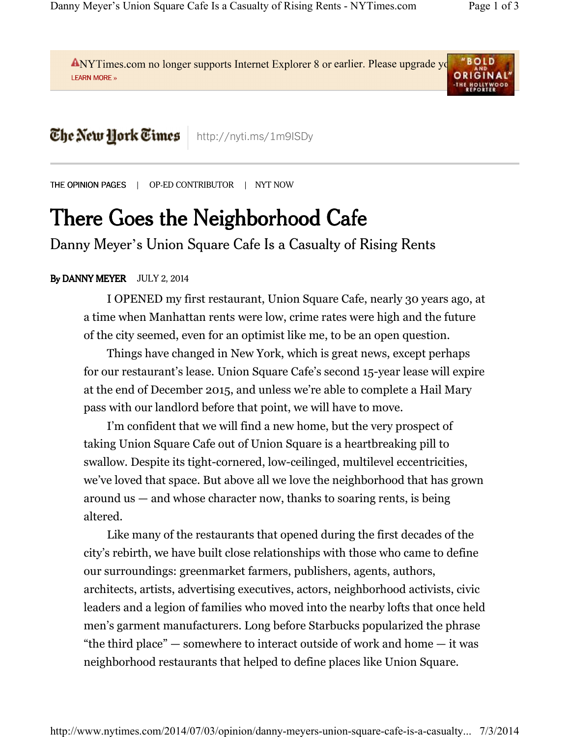**ANYTimes.com no longer supports Internet Explorer 8 or earlier. Please upgrade your** LEARN MORE **»**



## The New York Times http://nyti.ms/1m9ISDy

THE OPINION PAGES | OP-ED CONTRIBUTOR | NYT NOW

## There Goes the Neighborhood Cafe

Danny Meyer's Union Square Cafe Is a Casualty of Rising Rents

By DANNY MEYER JULY 2, 2014

I OPENED my first restaurant, Union Square Cafe, nearly 30 years ago, at a time when Manhattan rents were low, crime rates were high and the future of the city seemed, even for an optimist like me, to be an open question.

Things have changed in New York, which is great news, except perhaps for our restaurant's lease. Union Square Cafe's second 15-year lease will expire at the end of December 2015, and unless we're able to complete a Hail Mary pass with our landlord before that point, we will have to move.

I'm confident that we will find a new home, but the very prospect of taking Union Square Cafe out of Union Square is a heartbreaking pill to swallow. Despite its tight-cornered, low-ceilinged, multilevel eccentricities, we've loved that space. But above all we love the neighborhood that has grown around us — and whose character now, thanks to soaring rents, is being altered.

Like many of the restaurants that opened during the first decades of the city's rebirth, we have built close relationships with those who came to define our surroundings: greenmarket farmers, publishers, agents, authors, architects, artists, advertising executives, actors, neighborhood activists, civic leaders and a legion of families who moved into the nearby lofts that once held men's garment manufacturers. Long before Starbucks popularized the phrase "the third place" — somewhere to interact outside of work and home — it was neighborhood restaurants that helped to define places like Union Square.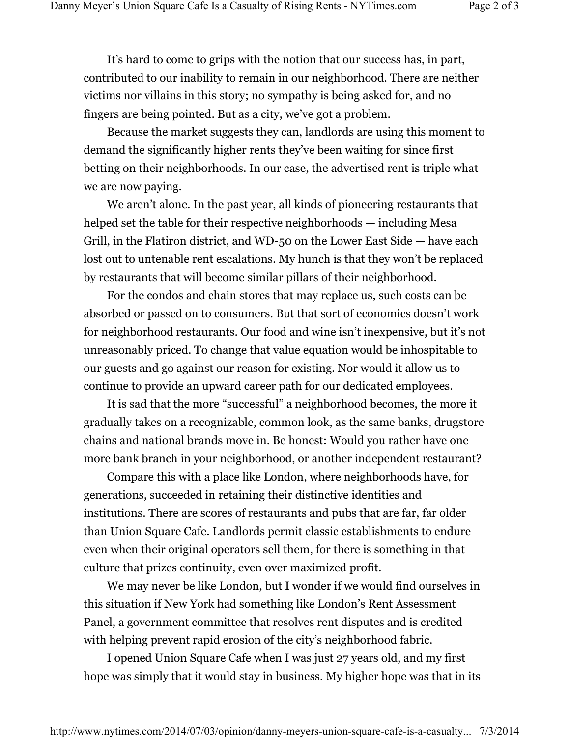It's hard to come to grips with the notion that our success has, in part, contributed to our inability to remain in our neighborhood. There are neither victims nor villains in this story; no sympathy is being asked for, and no fingers are being pointed. But as a city, we've got a problem.

Because the market suggests they can, landlords are using this moment to demand the significantly higher rents they've been waiting for since first betting on their neighborhoods. In our case, the advertised rent is triple what we are now paying.

We aren't alone. In the past year, all kinds of pioneering restaurants that helped set the table for their respective neighborhoods — including Mesa Grill, in the Flatiron district, and WD-50 on the Lower East Side — have each lost out to untenable rent escalations. My hunch is that they won't be replaced by restaurants that will become similar pillars of their neighborhood.

For the condos and chain stores that may replace us, such costs can be absorbed or passed on to consumers. But that sort of economics doesn't work for neighborhood restaurants. Our food and wine isn't inexpensive, but it's not unreasonably priced. To change that value equation would be inhospitable to our guests and go against our reason for existing. Nor would it allow us to continue to provide an upward career path for our dedicated employees.

It is sad that the more "successful" a neighborhood becomes, the more it gradually takes on a recognizable, common look, as the same banks, drugstore chains and national brands move in. Be honest: Would you rather have one more bank branch in your neighborhood, or another independent restaurant?

Compare this with a place like London, where neighborhoods have, for generations, succeeded in retaining their distinctive identities and institutions. There are scores of restaurants and pubs that are far, far older than Union Square Cafe. Landlords permit classic establishments to endure even when their original operators sell them, for there is something in that culture that prizes continuity, even over maximized profit.

We may never be like London, but I wonder if we would find ourselves in this situation if New York had something like London's Rent Assessment Panel, a government committee that resolves rent disputes and is credited with helping prevent rapid erosion of the city's neighborhood fabric.

I opened Union Square Cafe when I was just 27 years old, and my first hope was simply that it would stay in business. My higher hope was that in its